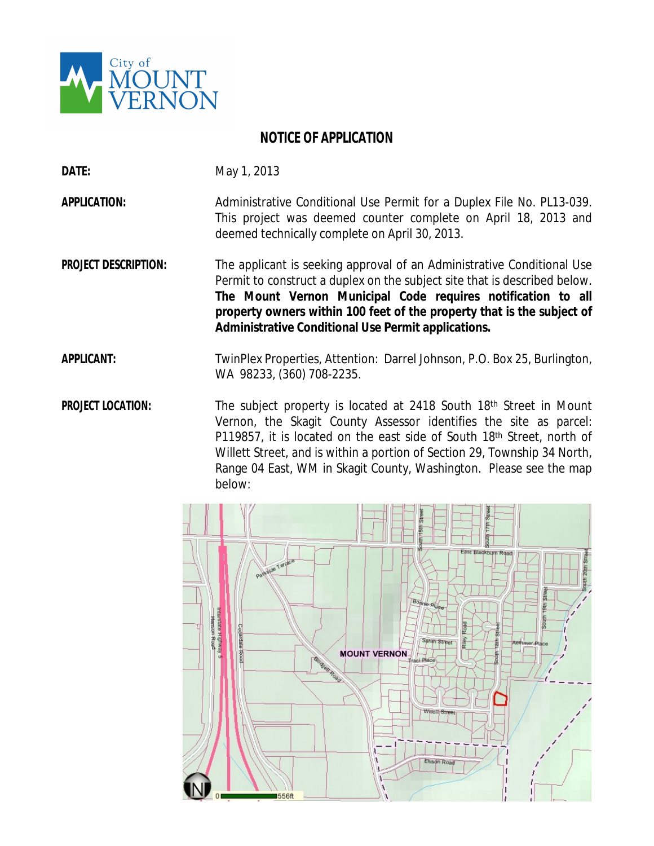

## **NOTICE OF APPLICATION**

**DATE:** May 1, 2013

**APPLICATION:** Administrative Conditional Use Permit for a Duplex File No. PL13-039. This project was deemed counter complete on April 18, 2013 and deemed technically complete on April 30, 2013.

**PROJECT DESCRIPTION:** The applicant is seeking approval of an Administrative Conditional Use Permit to construct a duplex on the subject site that is described below. **The Mount Vernon Municipal Code requires notification to all property owners within 100 feet of the property that is the subject of Administrative Conditional Use Permit applications.**

**APPLICANT:** TwinPlex Properties, Attention: Darrel Johnson, P.O. Box 25, Burlington, WA 98233, (360) 708-2235.

**PROJECT LOCATION:** The subject property is located at 2418 South 18<sup>th</sup> Street in Mount Vernon, the Skagit County Assessor identifies the site as parcel: P119857, it is located on the east side of South 18th Street, north of Willett Street, and is within a portion of Section 29, Township 34 North, Range 04 East, WM in Skagit County, Washington. Please see the map below: